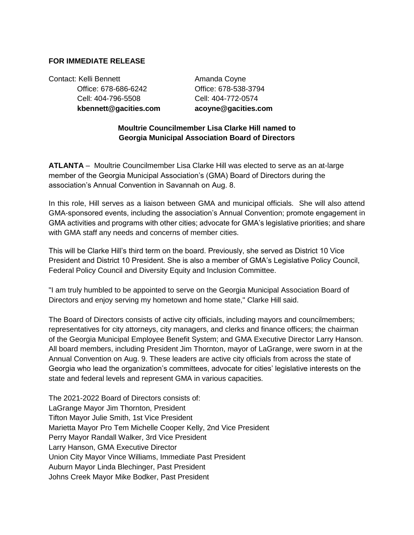## **FOR IMMEDIATE RELEASE**

Contact: Kelli Bennett **Amanda Coyne**  Office: 678-686-6242 Office: 678-538-3794 Cell: 404-796-5508 Cell: 404-772-0574  **kbennett@gacities.com acoyne@gacities.com**

## **Moultrie Councilmember Lisa Clarke Hill named to Georgia Municipal Association Board of Directors**

**ATLANTA** – Moultrie Councilmember Lisa Clarke Hill was elected to serve as an at-large member of the Georgia Municipal Association's (GMA) Board of Directors during the association's Annual Convention in Savannah on Aug. 8.

In this role, Hill serves as a liaison between GMA and municipal officials. She will also attend GMA-sponsored events, including the association's Annual Convention; promote engagement in GMA activities and programs with other cities; advocate for GMA's legislative priorities; and share with GMA staff any needs and concerns of member cities.

This will be Clarke Hill's third term on the board. Previously, she served as District 10 Vice President and District 10 President. She is also a member of GMA's Legislative Policy Council, Federal Policy Council and Diversity Equity and Inclusion Committee.

"I am truly humbled to be appointed to serve on the Georgia Municipal Association Board of Directors and enjoy serving my hometown and home state," Clarke Hill said.

The Board of Directors consists of active city officials, including mayors and councilmembers; representatives for city attorneys, city managers, and clerks and finance officers; the chairman of the Georgia Municipal Employee Benefit System; and GMA Executive Director Larry Hanson. All board members, including President Jim Thornton, mayor of LaGrange, were sworn in at the Annual Convention on Aug. 9. These leaders are active city officials from across the state of Georgia who lead the organization's committees, advocate for cities' legislative interests on the state and federal levels and represent GMA in various capacities.

The 2021-2022 Board of Directors consists of: LaGrange Mayor Jim Thornton, President Tifton Mayor Julie Smith, 1st Vice President Marietta Mayor Pro Tem Michelle Cooper Kelly, 2nd Vice President Perry Mayor Randall Walker, 3rd Vice President Larry Hanson, GMA Executive Director Union City Mayor Vince Williams, Immediate Past President Auburn Mayor Linda Blechinger, Past President Johns Creek Mayor Mike Bodker, Past President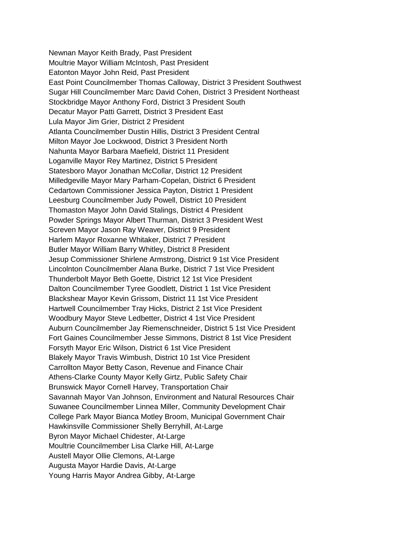Newnan Mayor Keith Brady, Past President Moultrie Mayor William McIntosh, Past President Eatonton Mayor John Reid, Past President East Point Councilmember Thomas Calloway, District 3 President Southwest Sugar Hill Councilmember Marc David Cohen, District 3 President Northeast Stockbridge Mayor Anthony Ford, District 3 President South Decatur Mayor Patti Garrett, District 3 President East Lula Mayor Jim Grier, District 2 President Atlanta Councilmember Dustin Hillis, District 3 President Central Milton Mayor Joe Lockwood, District 3 President North Nahunta Mayor Barbara Maefield, District 11 President Loganville Mayor Rey Martinez, District 5 President Statesboro Mayor Jonathan McCollar, District 12 President Milledgeville Mayor Mary Parham-Copelan, District 6 President Cedartown Commissioner Jessica Payton, District 1 President Leesburg Councilmember Judy Powell, District 10 President Thomaston Mayor John David Stalings, District 4 President Powder Springs Mayor Albert Thurman, District 3 President West Screven Mayor Jason Ray Weaver, District 9 President Harlem Mayor Roxanne Whitaker, District 7 President Butler Mayor William Barry Whitley, District 8 President Jesup Commissioner Shirlene Armstrong, District 9 1st Vice President Lincolnton Councilmember Alana Burke, District 7 1st Vice President Thunderbolt Mayor Beth Goette, District 12 1st Vice President Dalton Councilmember Tyree Goodlett, District 1 1st Vice President Blackshear Mayor Kevin Grissom, District 11 1st Vice President Hartwell Councilmember Tray Hicks, District 2 1st Vice President Woodbury Mayor Steve Ledbetter, District 4 1st Vice President Auburn Councilmember Jay Riemenschneider, District 5 1st Vice President Fort Gaines Councilmember Jesse Simmons, District 8 1st Vice President Forsyth Mayor Eric Wilson, District 6 1st Vice President Blakely Mayor Travis Wimbush, District 10 1st Vice President Carrollton Mayor Betty Cason, Revenue and Finance Chair Athens-Clarke County Mayor Kelly Girtz, Public Safety Chair Brunswick Mayor Cornell Harvey, Transportation Chair Savannah Mayor Van Johnson, Environment and Natural Resources Chair Suwanee Councilmember Linnea Miller, Community Development Chair College Park Mayor Bianca Motley Broom, Municipal Government Chair Hawkinsville Commissioner Shelly Berryhill, At-Large Byron Mayor Michael Chidester, At-Large Moultrie Councilmember Lisa Clarke Hill, At-Large Austell Mayor Ollie Clemons, At-Large Augusta Mayor Hardie Davis, At-Large Young Harris Mayor Andrea Gibby, At-Large